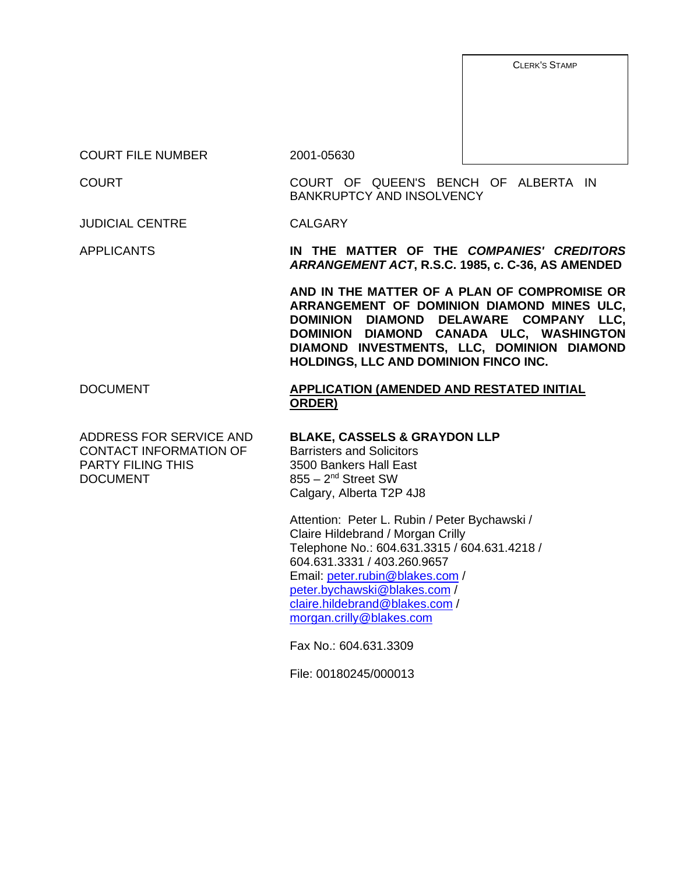CLERK'S STAMP

COURT FILE NUMBER 2001-05630

COURT COURT OF QUEEN'S BENCH OF ALBERTA IN BANKRUPTCY AND INSOLVENCY

JUDICIAL CENTRE CALGARY

APPLICANTS **IN THE MATTER OF THE** *COMPANIES' CREDITORS ARRANGEMENT ACT***, R.S.C. 1985, c. C-36, AS AMENDED** 

> **AND IN THE MATTER OF A PLAN OF COMPROMISE OR ARRANGEMENT OF DOMINION DIAMOND MINES ULC, DOMINION DIAMOND DELAWARE COMPANY LLC, DOMINION DIAMOND CANADA ULC, WASHINGTON DIAMOND INVESTMENTS, LLC, DOMINION DIAMOND HOLDINGS, LLC AND DOMINION FINCO INC.**

### DOCUMENT **APPLICATION (AMENDED AND RESTATED INITIAL ORDER)**

ADDRESS FOR SERVICE AND CONTACT INFORMATION OF PARTY FILING THIS DOCUMENT

#### **BLAKE, CASSELS & GRAYDON LLP**

Barristers and Solicitors 3500 Bankers Hall East 855 – 2nd Street SW Calgary, Alberta T2P 4J8

Attention: Peter L. Rubin / Peter Bychawski / Claire Hildebrand / Morgan Crilly Telephone No.: 604.631.3315 / 604.631.4218 / 604.631.3331 / 403.260.9657 Email: peter.rubin@blakes.com / peter.bychawski@blakes.com / claire.hildebrand@blakes.com / morgan.crilly@blakes.com

Fax No.: 604.631.3309

File: 00180245/000013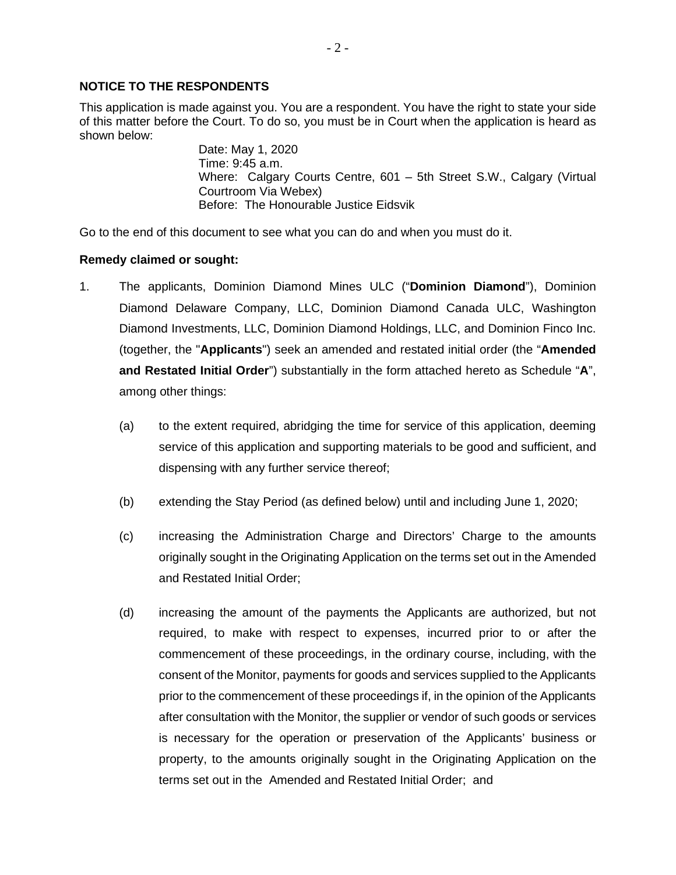#### **NOTICE TO THE RESPONDENTS**

This application is made against you. You are a respondent. You have the right to state your side of this matter before the Court. To do so, you must be in Court when the application is heard as shown below:

> Date: May 1, 2020 Time: 9:45 a.m. Where: Calgary Courts Centre, 601 – 5th Street S.W., Calgary (Virtual Courtroom Via Webex) Before: The Honourable Justice Eidsvik

Go to the end of this document to see what you can do and when you must do it.

#### **Remedy claimed or sought:**

- 1. The applicants, Dominion Diamond Mines ULC ("**Dominion Diamond**"), Dominion Diamond Delaware Company, LLC, Dominion Diamond Canada ULC, Washington Diamond Investments, LLC, Dominion Diamond Holdings, LLC, and Dominion Finco Inc. (together, the "**Applicants**") seek an amended and restated initial order (the "**Amended and Restated Initial Order**") substantially in the form attached hereto as Schedule "**A**", among other things:
	- (a) to the extent required, abridging the time for service of this application, deeming service of this application and supporting materials to be good and sufficient, and dispensing with any further service thereof;
	- (b) extending the Stay Period (as defined below) until and including June 1, 2020;
	- (c) increasing the Administration Charge and Directors' Charge to the amounts originally sought in the Originating Application on the terms set out in the Amended and Restated Initial Order;
	- (d) increasing the amount of the payments the Applicants are authorized, but not required, to make with respect to expenses, incurred prior to or after the commencement of these proceedings, in the ordinary course, including, with the consent of the Monitor, payments for goods and services supplied to the Applicants prior to the commencement of these proceedings if, in the opinion of the Applicants after consultation with the Monitor, the supplier or vendor of such goods or services is necessary for the operation or preservation of the Applicants' business or property, to the amounts originally sought in the Originating Application on the terms set out in the Amended and Restated Initial Order; and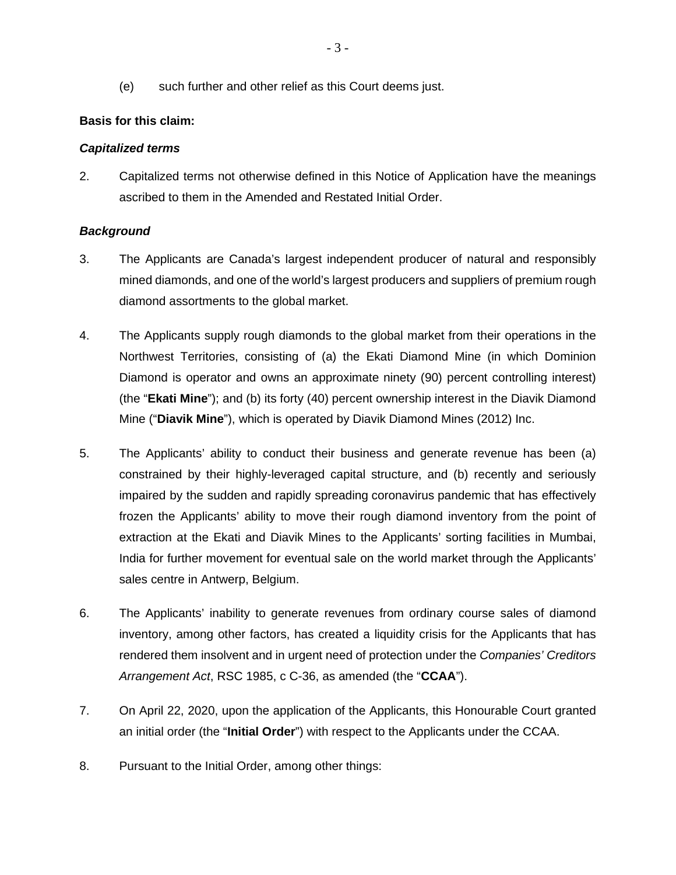(e) such further and other relief as this Court deems just.

# **Basis for this claim:**

# *Capitalized terms*

2. Capitalized terms not otherwise defined in this Notice of Application have the meanings ascribed to them in the Amended and Restated Initial Order.

# *Background*

- 3. The Applicants are Canada's largest independent producer of natural and responsibly mined diamonds, and one of the world's largest producers and suppliers of premium rough diamond assortments to the global market.
- 4. The Applicants supply rough diamonds to the global market from their operations in the Northwest Territories, consisting of (a) the Ekati Diamond Mine (in which Dominion Diamond is operator and owns an approximate ninety (90) percent controlling interest) (the "**Ekati Mine**"); and (b) its forty (40) percent ownership interest in the Diavik Diamond Mine ("**Diavik Mine**"), which is operated by Diavik Diamond Mines (2012) Inc.
- 5. The Applicants' ability to conduct their business and generate revenue has been (a) constrained by their highly-leveraged capital structure, and (b) recently and seriously impaired by the sudden and rapidly spreading coronavirus pandemic that has effectively frozen the Applicants' ability to move their rough diamond inventory from the point of extraction at the Ekati and Diavik Mines to the Applicants' sorting facilities in Mumbai, India for further movement for eventual sale on the world market through the Applicants' sales centre in Antwerp, Belgium.
- 6. The Applicants' inability to generate revenues from ordinary course sales of diamond inventory, among other factors, has created a liquidity crisis for the Applicants that has rendered them insolvent and in urgent need of protection under the *Companies' Creditors Arrangement Act*, RSC 1985, c C-36, as amended (the "**CCAA**").
- 7. On April 22, 2020, upon the application of the Applicants, this Honourable Court granted an initial order (the "**Initial Order**") with respect to the Applicants under the CCAA.
- 8. Pursuant to the Initial Order, among other things: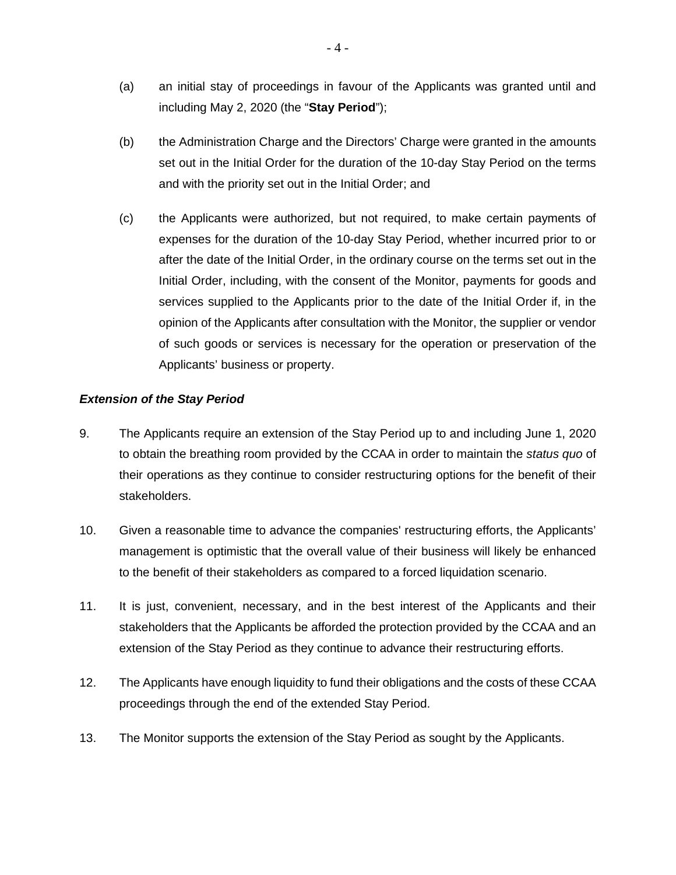- (a) an initial stay of proceedings in favour of the Applicants was granted until and including May 2, 2020 (the "**Stay Period**");
- (b) the Administration Charge and the Directors' Charge were granted in the amounts set out in the Initial Order for the duration of the 10-day Stay Period on the terms and with the priority set out in the Initial Order; and
- (c) the Applicants were authorized, but not required, to make certain payments of expenses for the duration of the 10-day Stay Period, whether incurred prior to or after the date of the Initial Order, in the ordinary course on the terms set out in the Initial Order, including, with the consent of the Monitor, payments for goods and services supplied to the Applicants prior to the date of the Initial Order if, in the opinion of the Applicants after consultation with the Monitor, the supplier or vendor of such goods or services is necessary for the operation or preservation of the Applicants' business or property.

### *Extension of the Stay Period*

- 9. The Applicants require an extension of the Stay Period up to and including June 1, 2020 to obtain the breathing room provided by the CCAA in order to maintain the *status quo* of their operations as they continue to consider restructuring options for the benefit of their stakeholders.
- 10. Given a reasonable time to advance the companies' restructuring efforts, the Applicants' management is optimistic that the overall value of their business will likely be enhanced to the benefit of their stakeholders as compared to a forced liquidation scenario.
- 11. It is just, convenient, necessary, and in the best interest of the Applicants and their stakeholders that the Applicants be afforded the protection provided by the CCAA and an extension of the Stay Period as they continue to advance their restructuring efforts.
- 12. The Applicants have enough liquidity to fund their obligations and the costs of these CCAA proceedings through the end of the extended Stay Period.
- 13. The Monitor supports the extension of the Stay Period as sought by the Applicants.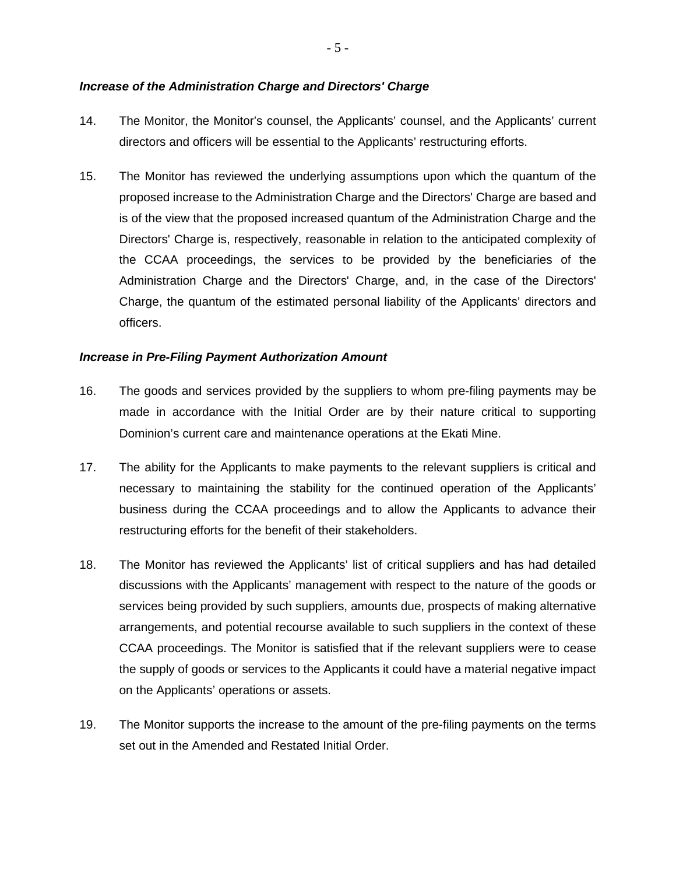#### *Increase of the Administration Charge and Directors' Charge*

- 14. The Monitor, the Monitor's counsel, the Applicants' counsel, and the Applicants' current directors and officers will be essential to the Applicants' restructuring efforts.
- 15. The Monitor has reviewed the underlying assumptions upon which the quantum of the proposed increase to the Administration Charge and the Directors' Charge are based and is of the view that the proposed increased quantum of the Administration Charge and the Directors' Charge is, respectively, reasonable in relation to the anticipated complexity of the CCAA proceedings, the services to be provided by the beneficiaries of the Administration Charge and the Directors' Charge, and, in the case of the Directors' Charge, the quantum of the estimated personal liability of the Applicants' directors and officers.

#### *Increase in Pre-Filing Payment Authorization Amount*

- 16. The goods and services provided by the suppliers to whom pre-filing payments may be made in accordance with the Initial Order are by their nature critical to supporting Dominion's current care and maintenance operations at the Ekati Mine.
- 17. The ability for the Applicants to make payments to the relevant suppliers is critical and necessary to maintaining the stability for the continued operation of the Applicants' business during the CCAA proceedings and to allow the Applicants to advance their restructuring efforts for the benefit of their stakeholders.
- 18. The Monitor has reviewed the Applicants' list of critical suppliers and has had detailed discussions with the Applicants' management with respect to the nature of the goods or services being provided by such suppliers, amounts due, prospects of making alternative arrangements, and potential recourse available to such suppliers in the context of these CCAA proceedings. The Monitor is satisfied that if the relevant suppliers were to cease the supply of goods or services to the Applicants it could have a material negative impact on the Applicants' operations or assets.
- 19. The Monitor supports the increase to the amount of the pre-filing payments on the terms set out in the Amended and Restated Initial Order.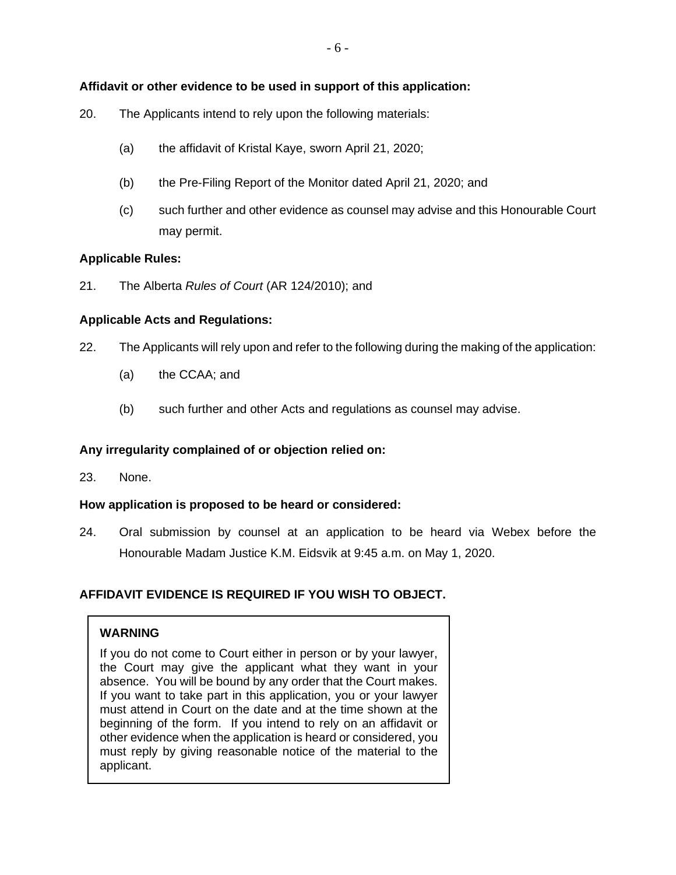# **Affidavit or other evidence to be used in support of this application:**

- 20. The Applicants intend to rely upon the following materials:
	- (a) the affidavit of Kristal Kaye, sworn April 21, 2020;
	- (b) the Pre-Filing Report of the Monitor dated April 21, 2020; and
	- (c) such further and other evidence as counsel may advise and this Honourable Court may permit.

### **Applicable Rules:**

21. The Alberta *Rules of Court* (AR 124/2010); and

### **Applicable Acts and Regulations:**

- 22. The Applicants will rely upon and refer to the following during the making of the application:
	- (a) the CCAA; and
	- (b) such further and other Acts and regulations as counsel may advise.

### **Any irregularity complained of or objection relied on:**

23. None.

### **How application is proposed to be heard or considered:**

24. Oral submission by counsel at an application to be heard via Webex before the Honourable Madam Justice K.M. Eidsvik at 9:45 a.m. on May 1, 2020.

### **AFFIDAVIT EVIDENCE IS REQUIRED IF YOU WISH TO OBJECT.**

### **WARNING**

If you do not come to Court either in person or by your lawyer, the Court may give the applicant what they want in your absence. You will be bound by any order that the Court makes. If you want to take part in this application, you or your lawyer must attend in Court on the date and at the time shown at the beginning of the form. If you intend to rely on an affidavit or other evidence when the application is heard or considered, you must reply by giving reasonable notice of the material to the applicant.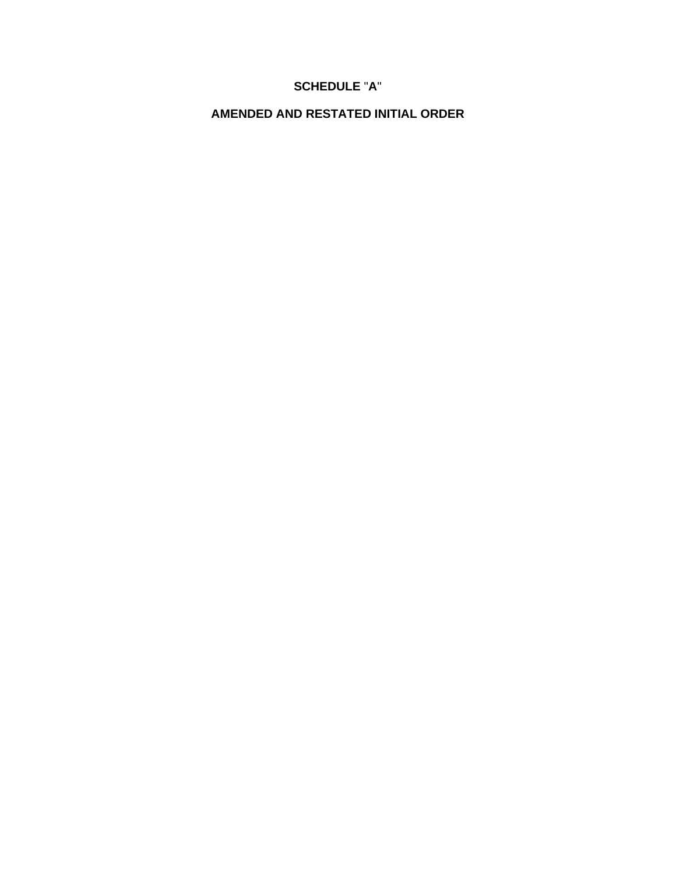# **SCHEDULE** "**A**"

**AMENDED AND RESTATED INITIAL ORDER**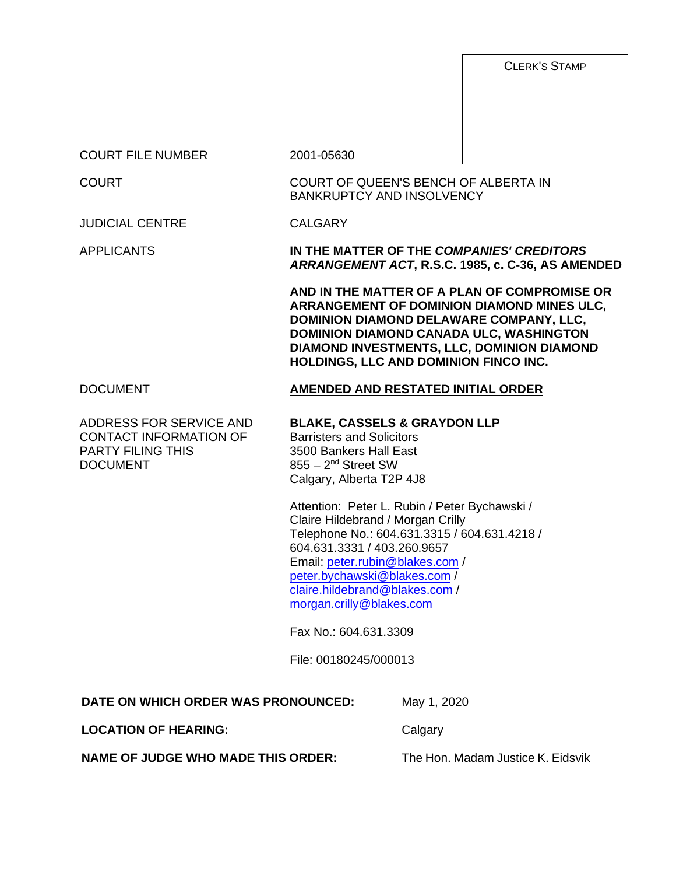CLERK'S STAMP

COURT FILE NUMBER 2001-05630

COURT COURT OF QUEEN'S BENCH OF ALBERTA IN BANKRUPTCY AND INSOLVENCY

JUDICIAL CENTRE CALGARY

APPLICANTS **IN THE MATTER OF THE** *COMPANIES' CREDITORS ARRANGEMENT ACT***, R.S.C. 1985, c. C-36, AS AMENDED** 

> **AND IN THE MATTER OF A PLAN OF COMPROMISE OR ARRANGEMENT OF DOMINION DIAMOND MINES ULC, DOMINION DIAMOND DELAWARE COMPANY, LLC, DOMINION DIAMOND CANADA ULC, WASHINGTON DIAMOND INVESTMENTS, LLC, DOMINION DIAMOND HOLDINGS, LLC AND DOMINION FINCO INC.**

ADDRESS FOR SERVICE AND CONTACT INFORMATION OF PARTY FILING THIS DOCUMENT

# DOCUMENT **AMENDED AND RESTATED INITIAL ORDER**

#### **BLAKE, CASSELS & GRAYDON LLP**

Barristers and Solicitors 3500 Bankers Hall East  $855 - 2<sup>nd</sup>$  Street SW Calgary, Alberta T2P 4J8

Attention: Peter L. Rubin / Peter Bychawski / Claire Hildebrand / Morgan Crilly Telephone No.: 604.631.3315 / 604.631.4218 / 604.631.3331 / 403.260.9657 Email: peter.rubin@blakes.com / peter.bychawski@blakes.com / claire.hildebrand@blakes.com / morgan.crilly@blakes.com

Fax No.: 604.631.3309

File: 00180245/000013

**LOCATION OF HEARING:** Calgary

May 1, 2020

**NAME OF JUDGE WHO MADE THIS ORDER:** The Hon. Madam Justice K. Eidsvik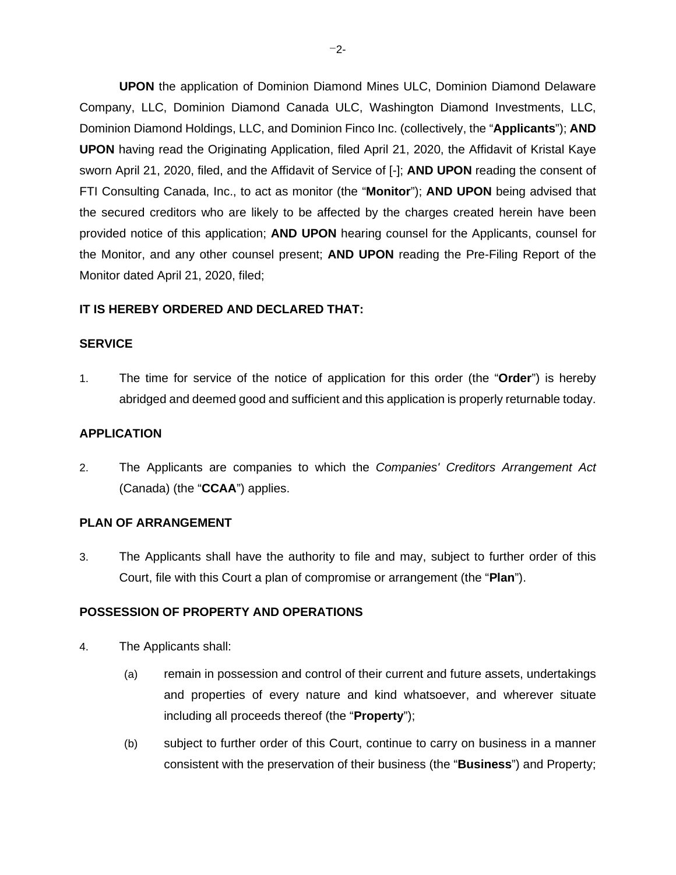**UPON** the application of Dominion Diamond Mines ULC, Dominion Diamond Delaware Company, LLC, Dominion Diamond Canada ULC, Washington Diamond Investments, LLC, Dominion Diamond Holdings, LLC, and Dominion Finco Inc. (collectively, the "**Applicants**"); **AND UPON** having read the Originating Application, filed April 21, 2020, the Affidavit of Kristal Kaye sworn April 21, 2020, filed, and the Affidavit of Service of [-]; **AND UPON** reading the consent of FTI Consulting Canada, Inc., to act as monitor (the "**Monitor**"); **AND UPON** being advised that the secured creditors who are likely to be affected by the charges created herein have been provided notice of this application; **AND UPON** hearing counsel for the Applicants, counsel for the Monitor, and any other counsel present; **AND UPON** reading the Pre-Filing Report of the Monitor dated April 21, 2020, filed;

#### **IT IS HEREBY ORDERED AND DECLARED THAT:**

#### **SERVICE**

1. The time for service of the notice of application for this order (the "**Order**") is hereby abridged and deemed good and sufficient and this application is properly returnable today.

#### **APPLICATION**

2. The Applicants are companies to which the *Companies' Creditors Arrangement Act*  (Canada) (the "**CCAA**") applies.

#### **PLAN OF ARRANGEMENT**

3. The Applicants shall have the authority to file and may, subject to further order of this Court, file with this Court a plan of compromise or arrangement (the "**Plan**").

#### **POSSESSION OF PROPERTY AND OPERATIONS**

- 4. The Applicants shall:
	- (a) remain in possession and control of their current and future assets, undertakings and properties of every nature and kind whatsoever, and wherever situate including all proceeds thereof (the "**Property**");
	- (b) subject to further order of this Court, continue to carry on business in a manner consistent with the preservation of their business (the "**Business**") and Property;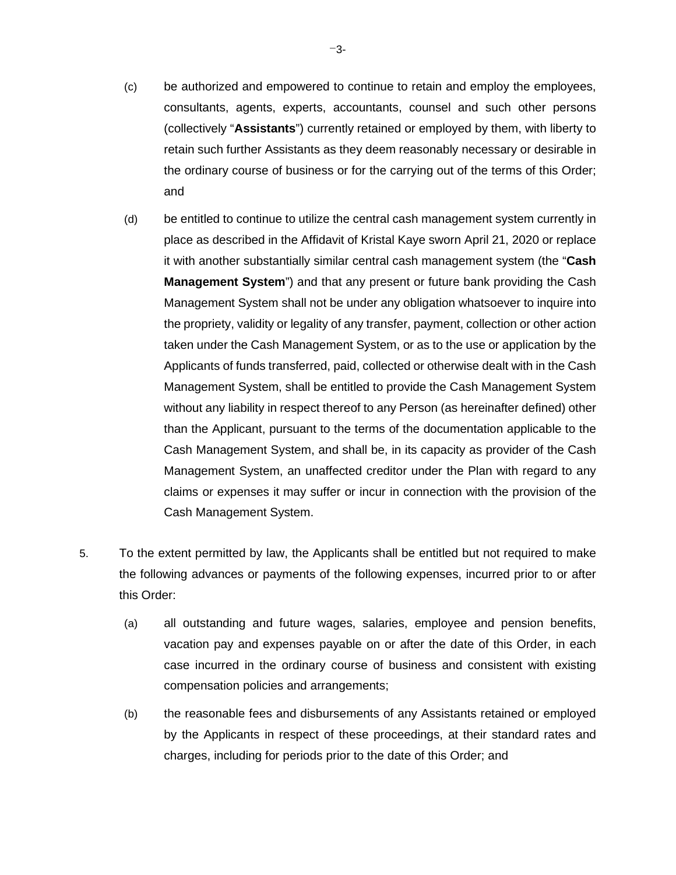- (c) be authorized and empowered to continue to retain and employ the employees, consultants, agents, experts, accountants, counsel and such other persons (collectively "**Assistants**") currently retained or employed by them, with liberty to retain such further Assistants as they deem reasonably necessary or desirable in the ordinary course of business or for the carrying out of the terms of this Order; and
- (d) be entitled to continue to utilize the central cash management system currently in place as described in the Affidavit of Kristal Kaye sworn April 21, 2020 or replace it with another substantially similar central cash management system (the "**Cash Management System**") and that any present or future bank providing the Cash Management System shall not be under any obligation whatsoever to inquire into the propriety, validity or legality of any transfer, payment, collection or other action taken under the Cash Management System, or as to the use or application by the Applicants of funds transferred, paid, collected or otherwise dealt with in the Cash Management System, shall be entitled to provide the Cash Management System without any liability in respect thereof to any Person (as hereinafter defined) other than the Applicant, pursuant to the terms of the documentation applicable to the Cash Management System, and shall be, in its capacity as provider of the Cash Management System, an unaffected creditor under the Plan with regard to any claims or expenses it may suffer or incur in connection with the provision of the Cash Management System.
- 5. To the extent permitted by law, the Applicants shall be entitled but not required to make the following advances or payments of the following expenses, incurred prior to or after this Order:
	- (a) all outstanding and future wages, salaries, employee and pension benefits, vacation pay and expenses payable on or after the date of this Order, in each case incurred in the ordinary course of business and consistent with existing compensation policies and arrangements;
	- (b) the reasonable fees and disbursements of any Assistants retained or employed by the Applicants in respect of these proceedings, at their standard rates and charges, including for periods prior to the date of this Order; and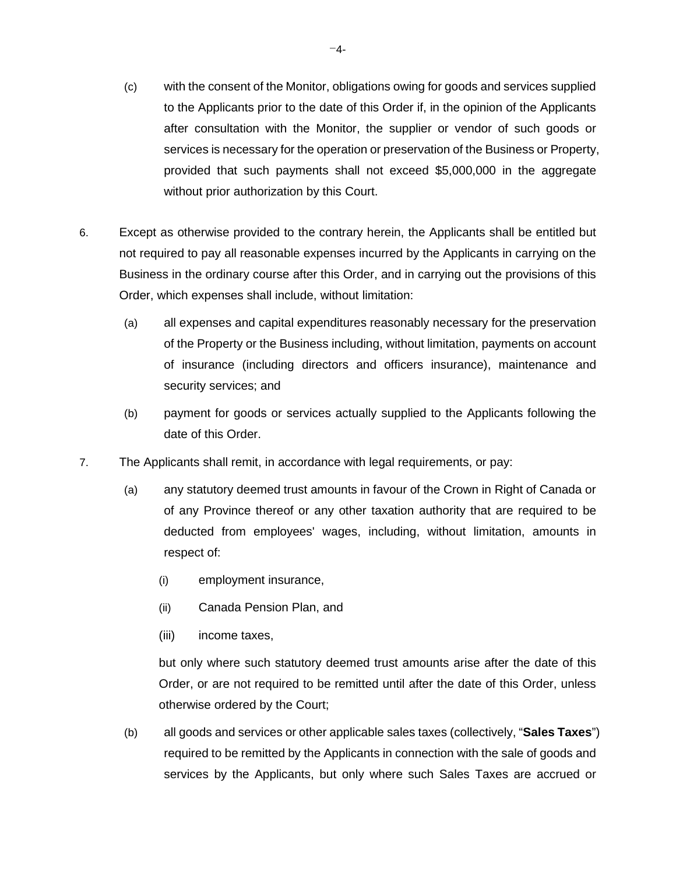- (c) with the consent of the Monitor, obligations owing for goods and services supplied to the Applicants prior to the date of this Order if, in the opinion of the Applicants after consultation with the Monitor, the supplier or vendor of such goods or services is necessary for the operation or preservation of the Business or Property, provided that such payments shall not exceed \$5,000,000 in the aggregate without prior authorization by this Court.
- 6. Except as otherwise provided to the contrary herein, the Applicants shall be entitled but not required to pay all reasonable expenses incurred by the Applicants in carrying on the Business in the ordinary course after this Order, and in carrying out the provisions of this Order, which expenses shall include, without limitation:
	- (a) all expenses and capital expenditures reasonably necessary for the preservation of the Property or the Business including, without limitation, payments on account of insurance (including directors and officers insurance), maintenance and security services; and
	- (b) payment for goods or services actually supplied to the Applicants following the date of this Order.
- 7. The Applicants shall remit, in accordance with legal requirements, or pay:
	- (a) any statutory deemed trust amounts in favour of the Crown in Right of Canada or of any Province thereof or any other taxation authority that are required to be deducted from employees' wages, including, without limitation, amounts in respect of:
		- (i) employment insurance,
		- (ii) Canada Pension Plan, and
		- (iii) income taxes,

but only where such statutory deemed trust amounts arise after the date of this Order, or are not required to be remitted until after the date of this Order, unless otherwise ordered by the Court;

(b) all goods and services or other applicable sales taxes (collectively, "**Sales Taxes**") required to be remitted by the Applicants in connection with the sale of goods and services by the Applicants, but only where such Sales Taxes are accrued or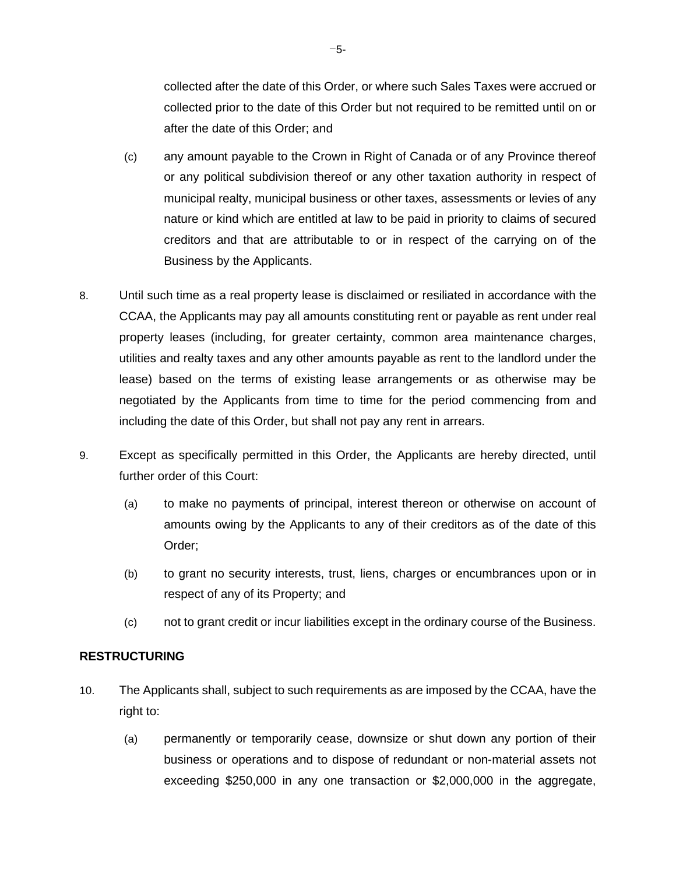collected after the date of this Order, or where such Sales Taxes were accrued or collected prior to the date of this Order but not required to be remitted until on or after the date of this Order; and

- (c) any amount payable to the Crown in Right of Canada or of any Province thereof or any political subdivision thereof or any other taxation authority in respect of municipal realty, municipal business or other taxes, assessments or levies of any nature or kind which are entitled at law to be paid in priority to claims of secured creditors and that are attributable to or in respect of the carrying on of the Business by the Applicants.
- 8. Until such time as a real property lease is disclaimed or resiliated in accordance with the CCAA, the Applicants may pay all amounts constituting rent or payable as rent under real property leases (including, for greater certainty, common area maintenance charges, utilities and realty taxes and any other amounts payable as rent to the landlord under the lease) based on the terms of existing lease arrangements or as otherwise may be negotiated by the Applicants from time to time for the period commencing from and including the date of this Order, but shall not pay any rent in arrears.
- 9. Except as specifically permitted in this Order, the Applicants are hereby directed, until further order of this Court:
	- (a) to make no payments of principal, interest thereon or otherwise on account of amounts owing by the Applicants to any of their creditors as of the date of this Order;
	- (b) to grant no security interests, trust, liens, charges or encumbrances upon or in respect of any of its Property; and
	- (c) not to grant credit or incur liabilities except in the ordinary course of the Business.

### **RESTRUCTURING**

- 10. The Applicants shall, subject to such requirements as are imposed by the CCAA, have the right to:
	- (a) permanently or temporarily cease, downsize or shut down any portion of their business or operations and to dispose of redundant or non-material assets not exceeding \$250,000 in any one transaction or \$2,000,000 in the aggregate,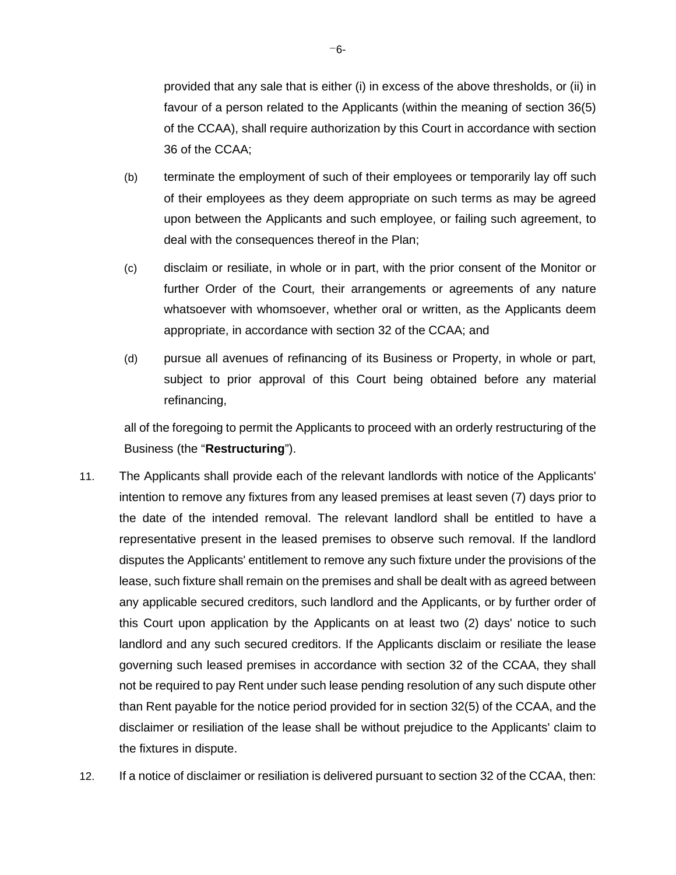provided that any sale that is either (i) in excess of the above thresholds, or (ii) in favour of a person related to the Applicants (within the meaning of section 36(5) of the CCAA), shall require authorization by this Court in accordance with section 36 of the CCAA;

- (b) terminate the employment of such of their employees or temporarily lay off such of their employees as they deem appropriate on such terms as may be agreed upon between the Applicants and such employee, or failing such agreement, to deal with the consequences thereof in the Plan;
- (c) disclaim or resiliate, in whole or in part, with the prior consent of the Monitor or further Order of the Court, their arrangements or agreements of any nature whatsoever with whomsoever, whether oral or written, as the Applicants deem appropriate, in accordance with section 32 of the CCAA; and
- (d) pursue all avenues of refinancing of its Business or Property, in whole or part, subject to prior approval of this Court being obtained before any material refinancing,

all of the foregoing to permit the Applicants to proceed with an orderly restructuring of the Business (the "**Restructuring**").

- 11. The Applicants shall provide each of the relevant landlords with notice of the Applicants' intention to remove any fixtures from any leased premises at least seven (7) days prior to the date of the intended removal. The relevant landlord shall be entitled to have a representative present in the leased premises to observe such removal. If the landlord disputes the Applicants' entitlement to remove any such fixture under the provisions of the lease, such fixture shall remain on the premises and shall be dealt with as agreed between any applicable secured creditors, such landlord and the Applicants, or by further order of this Court upon application by the Applicants on at least two (2) days' notice to such landlord and any such secured creditors. If the Applicants disclaim or resiliate the lease governing such leased premises in accordance with section 32 of the CCAA, they shall not be required to pay Rent under such lease pending resolution of any such dispute other than Rent payable for the notice period provided for in section 32(5) of the CCAA, and the disclaimer or resiliation of the lease shall be without prejudice to the Applicants' claim to the fixtures in dispute.
- 12. If a notice of disclaimer or resiliation is delivered pursuant to section 32 of the CCAA, then: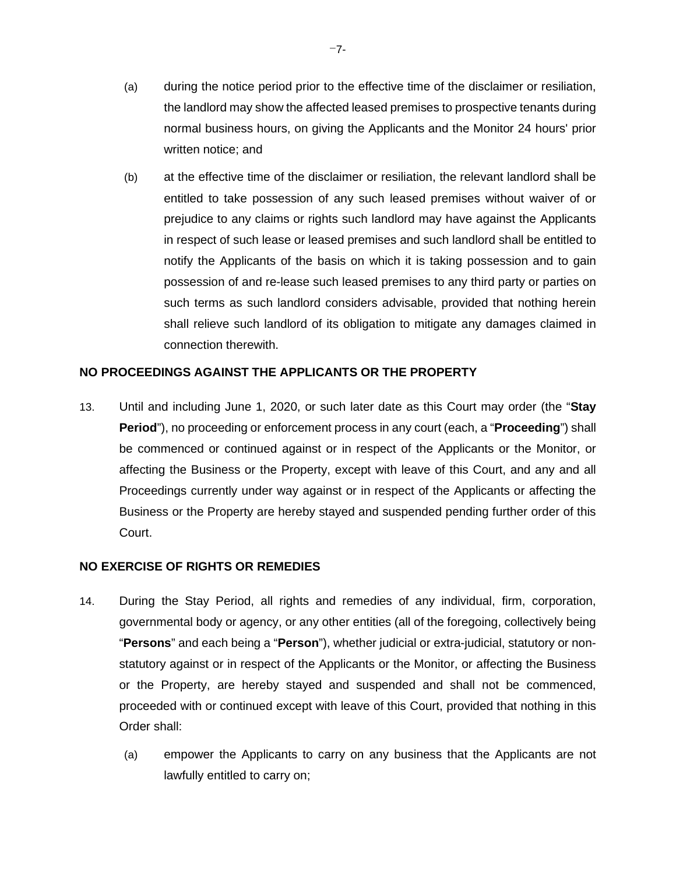- (a) during the notice period prior to the effective time of the disclaimer or resiliation, the landlord may show the affected leased premises to prospective tenants during normal business hours, on giving the Applicants and the Monitor 24 hours' prior written notice; and
- (b) at the effective time of the disclaimer or resiliation, the relevant landlord shall be entitled to take possession of any such leased premises without waiver of or prejudice to any claims or rights such landlord may have against the Applicants in respect of such lease or leased premises and such landlord shall be entitled to notify the Applicants of the basis on which it is taking possession and to gain possession of and re-lease such leased premises to any third party or parties on such terms as such landlord considers advisable, provided that nothing herein shall relieve such landlord of its obligation to mitigate any damages claimed in connection therewith.

# **NO PROCEEDINGS AGAINST THE APPLICANTS OR THE PROPERTY**

13. Until and including June 1, 2020, or such later date as this Court may order (the "**Stay Period**"), no proceeding or enforcement process in any court (each, a "**Proceeding**") shall be commenced or continued against or in respect of the Applicants or the Monitor, or affecting the Business or the Property, except with leave of this Court, and any and all Proceedings currently under way against or in respect of the Applicants or affecting the Business or the Property are hereby stayed and suspended pending further order of this Court.

### **NO EXERCISE OF RIGHTS OR REMEDIES**

- 14. During the Stay Period, all rights and remedies of any individual, firm, corporation, governmental body or agency, or any other entities (all of the foregoing, collectively being "**Persons**" and each being a "**Person**"), whether judicial or extra-judicial, statutory or nonstatutory against or in respect of the Applicants or the Monitor, or affecting the Business or the Property, are hereby stayed and suspended and shall not be commenced, proceeded with or continued except with leave of this Court, provided that nothing in this Order shall:
	- (a) empower the Applicants to carry on any business that the Applicants are not lawfully entitled to carry on;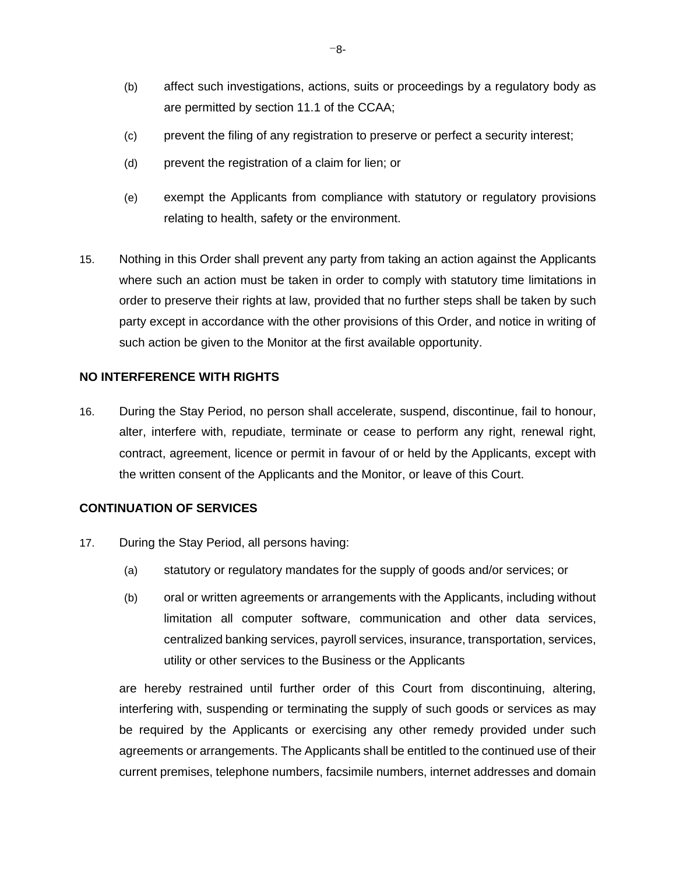- (b) affect such investigations, actions, suits or proceedings by a regulatory body as are permitted by section 11.1 of the CCAA;
- (c) prevent the filing of any registration to preserve or perfect a security interest;
- (d) prevent the registration of a claim for lien; or
- (e) exempt the Applicants from compliance with statutory or regulatory provisions relating to health, safety or the environment.
- 15. Nothing in this Order shall prevent any party from taking an action against the Applicants where such an action must be taken in order to comply with statutory time limitations in order to preserve their rights at law, provided that no further steps shall be taken by such party except in accordance with the other provisions of this Order, and notice in writing of such action be given to the Monitor at the first available opportunity.

#### **NO INTERFERENCE WITH RIGHTS**

16. During the Stay Period, no person shall accelerate, suspend, discontinue, fail to honour, alter, interfere with, repudiate, terminate or cease to perform any right, renewal right, contract, agreement, licence or permit in favour of or held by the Applicants, except with the written consent of the Applicants and the Monitor, or leave of this Court.

### **CONTINUATION OF SERVICES**

- 17. During the Stay Period, all persons having:
	- (a) statutory or regulatory mandates for the supply of goods and/or services; or
	- (b) oral or written agreements or arrangements with the Applicants, including without limitation all computer software, communication and other data services, centralized banking services, payroll services, insurance, transportation, services, utility or other services to the Business or the Applicants

are hereby restrained until further order of this Court from discontinuing, altering, interfering with, suspending or terminating the supply of such goods or services as may be required by the Applicants or exercising any other remedy provided under such agreements or arrangements. The Applicants shall be entitled to the continued use of their current premises, telephone numbers, facsimile numbers, internet addresses and domain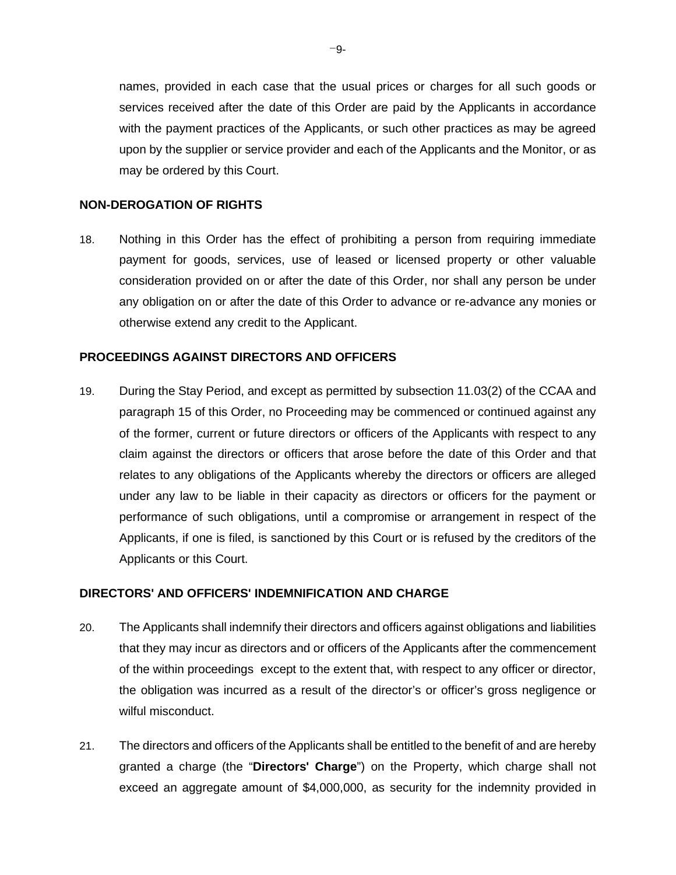names, provided in each case that the usual prices or charges for all such goods or services received after the date of this Order are paid by the Applicants in accordance with the payment practices of the Applicants, or such other practices as may be agreed upon by the supplier or service provider and each of the Applicants and the Monitor, or as may be ordered by this Court.

#### **NON-DEROGATION OF RIGHTS**

18. Nothing in this Order has the effect of prohibiting a person from requiring immediate payment for goods, services, use of leased or licensed property or other valuable consideration provided on or after the date of this Order, nor shall any person be under any obligation on or after the date of this Order to advance or re-advance any monies or otherwise extend any credit to the Applicant.

#### **PROCEEDINGS AGAINST DIRECTORS AND OFFICERS**

19. During the Stay Period, and except as permitted by subsection 11.03(2) of the CCAA and paragraph 15 of this Order, no Proceeding may be commenced or continued against any of the former, current or future directors or officers of the Applicants with respect to any claim against the directors or officers that arose before the date of this Order and that relates to any obligations of the Applicants whereby the directors or officers are alleged under any law to be liable in their capacity as directors or officers for the payment or performance of such obligations, until a compromise or arrangement in respect of the Applicants, if one is filed, is sanctioned by this Court or is refused by the creditors of the Applicants or this Court.

#### **DIRECTORS' AND OFFICERS' INDEMNIFICATION AND CHARGE**

- 20. The Applicants shall indemnify their directors and officers against obligations and liabilities that they may incur as directors and or officers of the Applicants after the commencement of the within proceedings except to the extent that, with respect to any officer or director, the obligation was incurred as a result of the director's or officer's gross negligence or wilful misconduct.
- 21. The directors and officers of the Applicants shall be entitled to the benefit of and are hereby granted a charge (the "**Directors' Charge**") on the Property, which charge shall not exceed an aggregate amount of \$4,000,000, as security for the indemnity provided in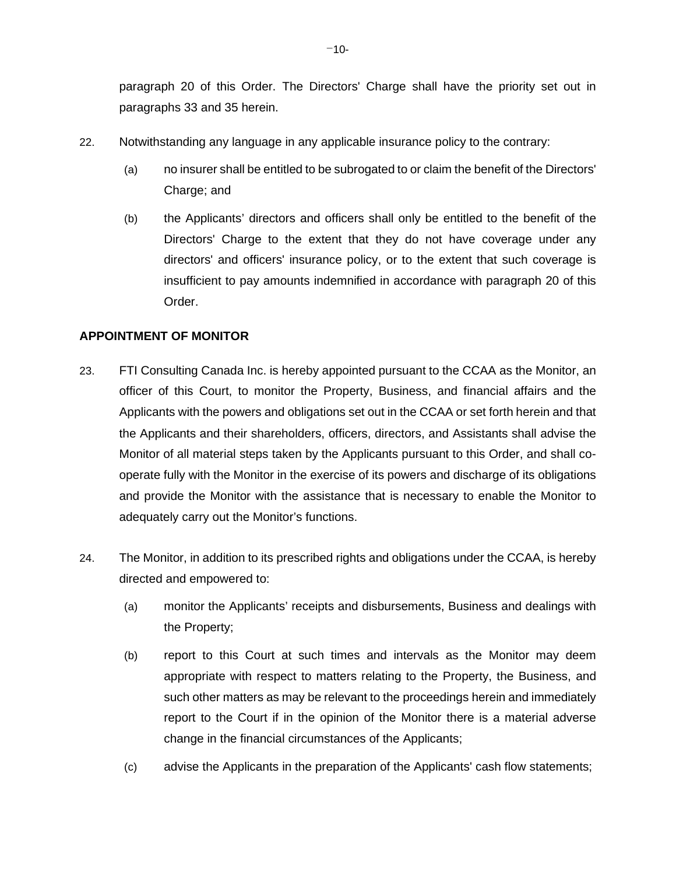paragraph 20 of this Order. The Directors' Charge shall have the priority set out in paragraphs 33 and 35 herein.

- 22. Notwithstanding any language in any applicable insurance policy to the contrary:
	- (a) no insurer shall be entitled to be subrogated to or claim the benefit of the Directors' Charge; and
	- (b) the Applicants' directors and officers shall only be entitled to the benefit of the Directors' Charge to the extent that they do not have coverage under any directors' and officers' insurance policy, or to the extent that such coverage is insufficient to pay amounts indemnified in accordance with paragraph 20 of this Order.

# **APPOINTMENT OF MONITOR**

- 23. FTI Consulting Canada Inc. is hereby appointed pursuant to the CCAA as the Monitor, an officer of this Court, to monitor the Property, Business, and financial affairs and the Applicants with the powers and obligations set out in the CCAA or set forth herein and that the Applicants and their shareholders, officers, directors, and Assistants shall advise the Monitor of all material steps taken by the Applicants pursuant to this Order, and shall cooperate fully with the Monitor in the exercise of its powers and discharge of its obligations and provide the Monitor with the assistance that is necessary to enable the Monitor to adequately carry out the Monitor's functions.
- 24. The Monitor, in addition to its prescribed rights and obligations under the CCAA, is hereby directed and empowered to:
	- (a) monitor the Applicants' receipts and disbursements, Business and dealings with the Property;
	- (b) report to this Court at such times and intervals as the Monitor may deem appropriate with respect to matters relating to the Property, the Business, and such other matters as may be relevant to the proceedings herein and immediately report to the Court if in the opinion of the Monitor there is a material adverse change in the financial circumstances of the Applicants;
	- (c) advise the Applicants in the preparation of the Applicants' cash flow statements;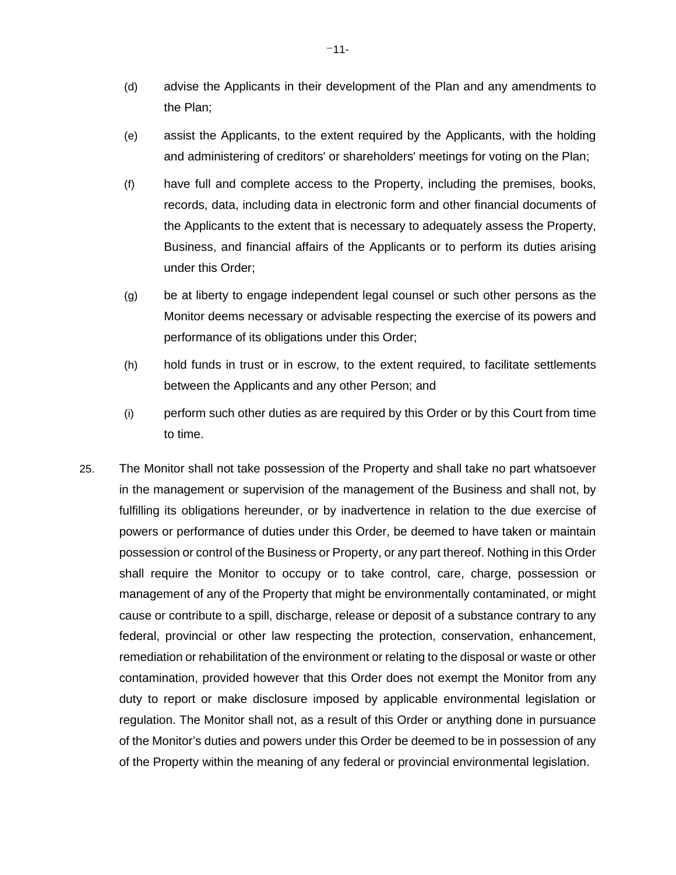- (d) advise the Applicants in their development of the Plan and any amendments to the Plan;
- (e) assist the Applicants, to the extent required by the Applicants, with the holding and administering of creditors' or shareholders' meetings for voting on the Plan;
- (f) have full and complete access to the Property, including the premises, books, records, data, including data in electronic form and other financial documents of the Applicants to the extent that is necessary to adequately assess the Property, Business, and financial affairs of the Applicants or to perform its duties arising under this Order;
- (g) be at liberty to engage independent legal counsel or such other persons as the Monitor deems necessary or advisable respecting the exercise of its powers and performance of its obligations under this Order;
- (h) hold funds in trust or in escrow, to the extent required, to facilitate settlements between the Applicants and any other Person; and
- (i) perform such other duties as are required by this Order or by this Court from time to time.
- 25. The Monitor shall not take possession of the Property and shall take no part whatsoever in the management or supervision of the management of the Business and shall not, by fulfilling its obligations hereunder, or by inadvertence in relation to the due exercise of powers or performance of duties under this Order, be deemed to have taken or maintain possession or control of the Business or Property, or any part thereof. Nothing in this Order shall require the Monitor to occupy or to take control, care, charge, possession or management of any of the Property that might be environmentally contaminated, or might cause or contribute to a spill, discharge, release or deposit of a substance contrary to any federal, provincial or other law respecting the protection, conservation, enhancement, remediation or rehabilitation of the environment or relating to the disposal or waste or other contamination, provided however that this Order does not exempt the Monitor from any duty to report or make disclosure imposed by applicable environmental legislation or regulation. The Monitor shall not, as a result of this Order or anything done in pursuance of the Monitor's duties and powers under this Order be deemed to be in possession of any of the Property within the meaning of any federal or provincial environmental legislation.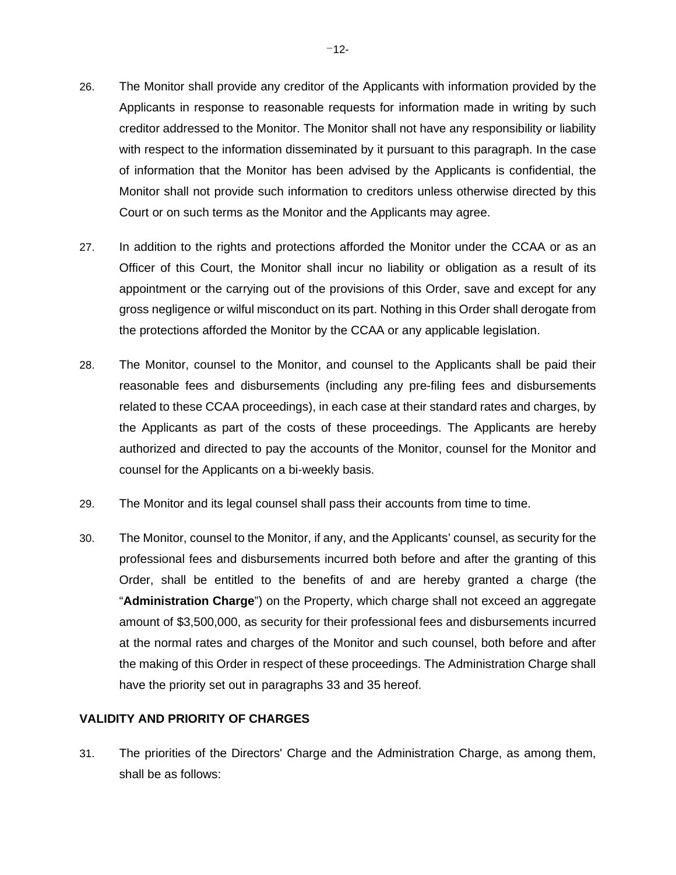- 26. The Monitor shall provide any creditor of the Applicants with information provided by the Applicants in response to reasonable requests for information made in writing by such creditor addressed to the Monitor. The Monitor shall not have any responsibility or liability with respect to the information disseminated by it pursuant to this paragraph. In the case of information that the Monitor has been advised by the Applicants is confidential, the Monitor shall not provide such information to creditors unless otherwise directed by this Court or on such terms as the Monitor and the Applicants may agree.
- 27. In addition to the rights and protections afforded the Monitor under the CCAA or as an Officer of this Court, the Monitor shall incur no liability or obligation as a result of its appointment or the carrying out of the provisions of this Order, save and except for any gross negligence or wilful misconduct on its part. Nothing in this Order shall derogate from the protections afforded the Monitor by the CCAA or any applicable legislation.
- 28. The Monitor, counsel to the Monitor, and counsel to the Applicants shall be paid their reasonable fees and disbursements (including any pre-filing fees and disbursements related to these CCAA proceedings), in each case at their standard rates and charges, by the Applicants as part of the costs of these proceedings. The Applicants are hereby authorized and directed to pay the accounts of the Monitor, counsel for the Monitor and counsel for the Applicants on a bi-weekly basis.
- 29. The Monitor and its legal counsel shall pass their accounts from time to time.
- 30. The Monitor, counsel to the Monitor, if any, and the Applicants' counsel, as security for the professional fees and disbursements incurred both before and after the granting of this Order, shall be entitled to the benefits of and are hereby granted a charge (the "**Administration Charge**") on the Property, which charge shall not exceed an aggregate amount of \$3,500,000, as security for their professional fees and disbursements incurred at the normal rates and charges of the Monitor and such counsel, both before and after the making of this Order in respect of these proceedings. The Administration Charge shall have the priority set out in paragraphs 33 and 35 hereof.

# **VALIDITY AND PRIORITY OF CHARGES**

31. The priorities of the Directors' Charge and the Administration Charge, as among them, shall be as follows: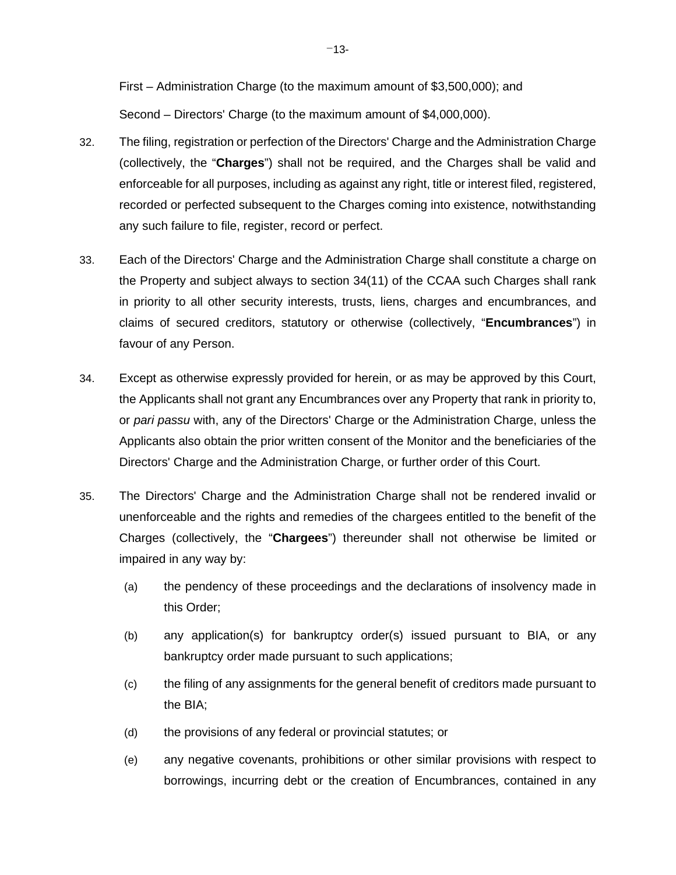First – Administration Charge (to the maximum amount of \$3,500,000); and Second – Directors' Charge (to the maximum amount of \$4,000,000).

- 32. The filing, registration or perfection of the Directors' Charge and the Administration Charge (collectively, the "**Charges**") shall not be required, and the Charges shall be valid and enforceable for all purposes, including as against any right, title or interest filed, registered, recorded or perfected subsequent to the Charges coming into existence, notwithstanding any such failure to file, register, record or perfect.
- 33. Each of the Directors' Charge and the Administration Charge shall constitute a charge on the Property and subject always to section 34(11) of the CCAA such Charges shall rank in priority to all other security interests, trusts, liens, charges and encumbrances, and claims of secured creditors, statutory or otherwise (collectively, "**Encumbrances**") in favour of any Person.
- 34. Except as otherwise expressly provided for herein, or as may be approved by this Court, the Applicants shall not grant any Encumbrances over any Property that rank in priority to, or *pari passu* with, any of the Directors' Charge or the Administration Charge, unless the Applicants also obtain the prior written consent of the Monitor and the beneficiaries of the Directors' Charge and the Administration Charge, or further order of this Court.
- 35. The Directors' Charge and the Administration Charge shall not be rendered invalid or unenforceable and the rights and remedies of the chargees entitled to the benefit of the Charges (collectively, the "**Chargees**") thereunder shall not otherwise be limited or impaired in any way by:
	- (a) the pendency of these proceedings and the declarations of insolvency made in this Order;
	- (b) any application(s) for bankruptcy order(s) issued pursuant to BIA, or any bankruptcy order made pursuant to such applications;
	- (c) the filing of any assignments for the general benefit of creditors made pursuant to the BIA;
	- (d) the provisions of any federal or provincial statutes; or
	- (e) any negative covenants, prohibitions or other similar provisions with respect to borrowings, incurring debt or the creation of Encumbrances, contained in any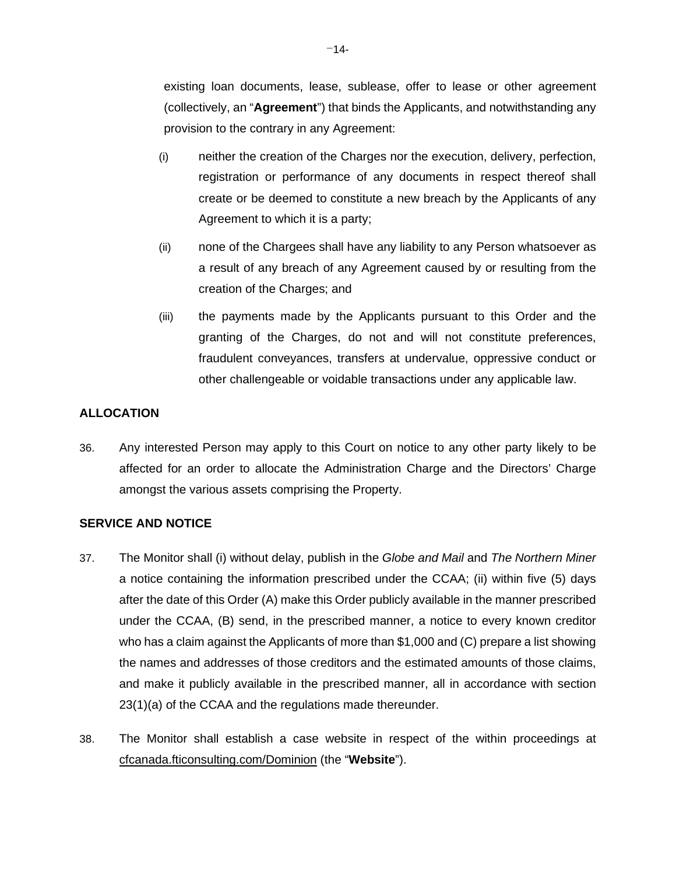existing loan documents, lease, sublease, offer to lease or other agreement (collectively, an "**Agreement**") that binds the Applicants, and notwithstanding any provision to the contrary in any Agreement:

- (i) neither the creation of the Charges nor the execution, delivery, perfection, registration or performance of any documents in respect thereof shall create or be deemed to constitute a new breach by the Applicants of any Agreement to which it is a party;
- (ii) none of the Chargees shall have any liability to any Person whatsoever as a result of any breach of any Agreement caused by or resulting from the creation of the Charges; and
- (iii) the payments made by the Applicants pursuant to this Order and the granting of the Charges, do not and will not constitute preferences, fraudulent conveyances, transfers at undervalue, oppressive conduct or other challengeable or voidable transactions under any applicable law.

# **ALLOCATION**

36. Any interested Person may apply to this Court on notice to any other party likely to be affected for an order to allocate the Administration Charge and the Directors' Charge amongst the various assets comprising the Property.

# **SERVICE AND NOTICE**

- 37. The Monitor shall (i) without delay, publish in the *Globe and Mail* and *The Northern Miner* a notice containing the information prescribed under the CCAA; (ii) within five (5) days after the date of this Order (A) make this Order publicly available in the manner prescribed under the CCAA, (B) send, in the prescribed manner, a notice to every known creditor who has a claim against the Applicants of more than \$1,000 and (C) prepare a list showing the names and addresses of those creditors and the estimated amounts of those claims, and make it publicly available in the prescribed manner, all in accordance with section 23(1)(a) of the CCAA and the regulations made thereunder.
- 38. The Monitor shall establish a case website in respect of the within proceedings at cfcanada.fticonsulting.com/Dominion (the "**Website**").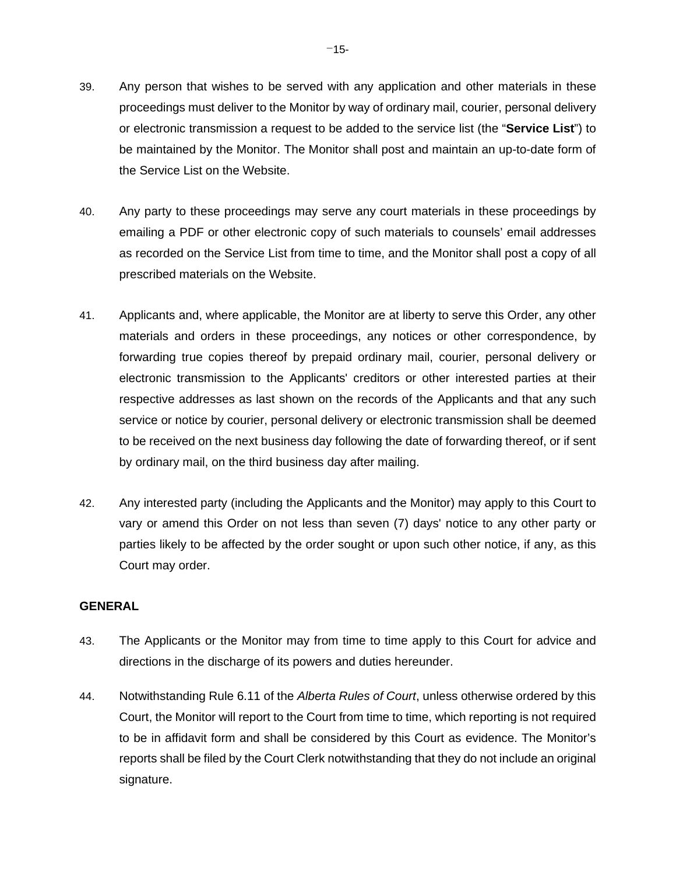- 39. Any person that wishes to be served with any application and other materials in these proceedings must deliver to the Monitor by way of ordinary mail, courier, personal delivery or electronic transmission a request to be added to the service list (the "**Service List**") to be maintained by the Monitor. The Monitor shall post and maintain an up-to-date form of the Service List on the Website.
- 40. Any party to these proceedings may serve any court materials in these proceedings by emailing a PDF or other electronic copy of such materials to counsels' email addresses as recorded on the Service List from time to time, and the Monitor shall post a copy of all prescribed materials on the Website.
- 41. Applicants and, where applicable, the Monitor are at liberty to serve this Order, any other materials and orders in these proceedings, any notices or other correspondence, by forwarding true copies thereof by prepaid ordinary mail, courier, personal delivery or electronic transmission to the Applicants' creditors or other interested parties at their respective addresses as last shown on the records of the Applicants and that any such service or notice by courier, personal delivery or electronic transmission shall be deemed to be received on the next business day following the date of forwarding thereof, or if sent by ordinary mail, on the third business day after mailing.
- 42. Any interested party (including the Applicants and the Monitor) may apply to this Court to vary or amend this Order on not less than seven (7) days' notice to any other party or parties likely to be affected by the order sought or upon such other notice, if any, as this Court may order.

### **GENERAL**

- 43. The Applicants or the Monitor may from time to time apply to this Court for advice and directions in the discharge of its powers and duties hereunder.
- 44. Notwithstanding Rule 6.11 of the *Alberta Rules of Court*, unless otherwise ordered by this Court, the Monitor will report to the Court from time to time, which reporting is not required to be in affidavit form and shall be considered by this Court as evidence. The Monitor's reports shall be filed by the Court Clerk notwithstanding that they do not include an original signature.